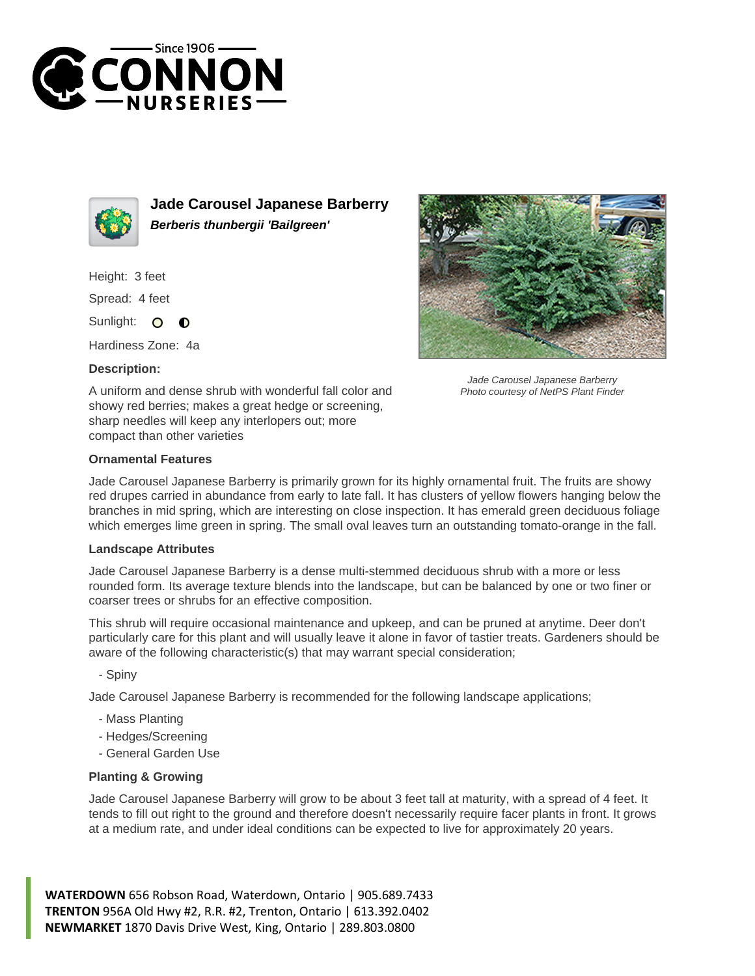



**Jade Carousel Japanese Barberry Berberis thunbergii 'Bailgreen'**

Height: 3 feet

Spread: 4 feet

Sunlight:  $\bullet$ ∩

Hardiness Zone: 4a

## **Description:**



Jade Carousel Japanese Barberry Photo courtesy of NetPS Plant Finder

A uniform and dense shrub with wonderful fall color and showy red berries; makes a great hedge or screening, sharp needles will keep any interlopers out; more compact than other varieties

## **Ornamental Features**

Jade Carousel Japanese Barberry is primarily grown for its highly ornamental fruit. The fruits are showy red drupes carried in abundance from early to late fall. It has clusters of yellow flowers hanging below the branches in mid spring, which are interesting on close inspection. It has emerald green deciduous foliage which emerges lime green in spring. The small oval leaves turn an outstanding tomato-orange in the fall.

## **Landscape Attributes**

Jade Carousel Japanese Barberry is a dense multi-stemmed deciduous shrub with a more or less rounded form. Its average texture blends into the landscape, but can be balanced by one or two finer or coarser trees or shrubs for an effective composition.

This shrub will require occasional maintenance and upkeep, and can be pruned at anytime. Deer don't particularly care for this plant and will usually leave it alone in favor of tastier treats. Gardeners should be aware of the following characteristic(s) that may warrant special consideration;

- Spiny

Jade Carousel Japanese Barberry is recommended for the following landscape applications;

- Mass Planting
- Hedges/Screening
- General Garden Use

## **Planting & Growing**

Jade Carousel Japanese Barberry will grow to be about 3 feet tall at maturity, with a spread of 4 feet. It tends to fill out right to the ground and therefore doesn't necessarily require facer plants in front. It grows at a medium rate, and under ideal conditions can be expected to live for approximately 20 years.

**WATERDOWN** 656 Robson Road, Waterdown, Ontario | 905.689.7433 **TRENTON** 956A Old Hwy #2, R.R. #2, Trenton, Ontario | 613.392.0402 **NEWMARKET** 1870 Davis Drive West, King, Ontario | 289.803.0800